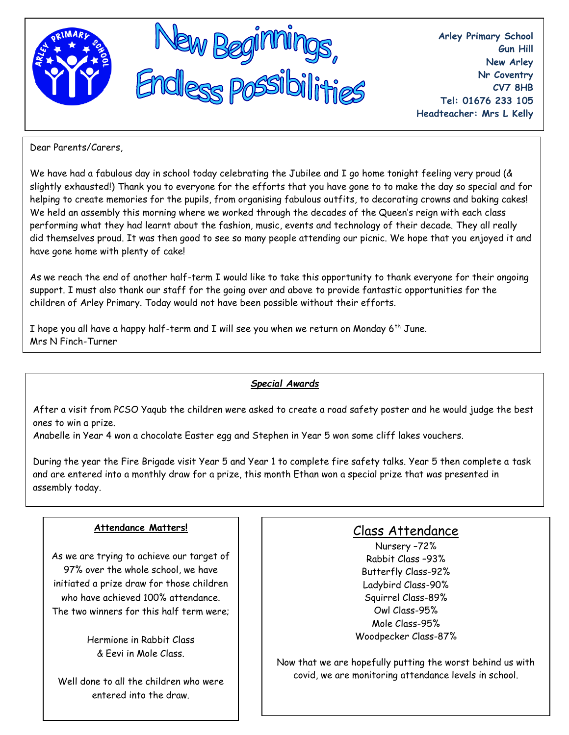

**Arley Primary School Gun Hill New Arley Nr Coventry CV7 8HB Tel: 01676 233 105 Headteacher: Mrs L Kelly**

Dear Parents/Carers,

We have had a fabulous day in school today celebrating the Jubilee and I go home tonight feeling very proud (& slightly exhausted!) Thank you to everyone for the efforts that you have gone to to make the day so special and for helping to create memories for the pupils, from organising fabulous outfits, to decorating crowns and baking cakes! We held an assembly this morning where we worked through the decades of the Queen's reign with each class performing what they had learnt about the fashion, music, events and technology of their decade. They all really did themselves proud. It was then good to see so many people attending our picnic. We hope that you enjoyed it and have gone home with plenty of cake!

As we reach the end of another half-term I would like to take this opportunity to thank everyone for their ongoing support. I must also thank our staff for the going over and above to provide fantastic opportunities for the children of Arley Primary. Today would not have been possible without their efforts.

I hope you all have a happy half-term and I will see you when we return on Monday 6<sup>th</sup> June. Mrs N Finch-Turner

## *Special Awards*

After a visit from PCSO Yaqub the children were asked to create a road safety poster and he would judge the best ones to win a prize.

Anabelle in Year 4 won a chocolate Easter egg and Stephen in Year 5 won some cliff lakes vouchers.

During the year the Fire Brigade visit Year 5 and Year 1 to complete fire safety talks. Year 5 then complete a task and are entered into a monthly draw for a prize, this month Ethan won a special prize that was presented in assembly today.

#### **Attendance Matters!**

As we are trying to achieve our target of 97% over the whole school, we have initiated a prize draw for those children who have achieved 100% attendance. The two winners for this half term were;

> Hermione in Rabbit Class & Eevi in Mole Class.

Well done to all the children who were entered into the draw.

# Class Attendance

Nursery –72% Rabbit Class –93% Butterfly Class-92% Ladybird Class-90% Squirrel Class-89% Owl Class-95% Mole Class-95% Woodpecker Class-87%

Now that we are hopefully putting the worst behind us with covid, we are monitoring attendance levels in school.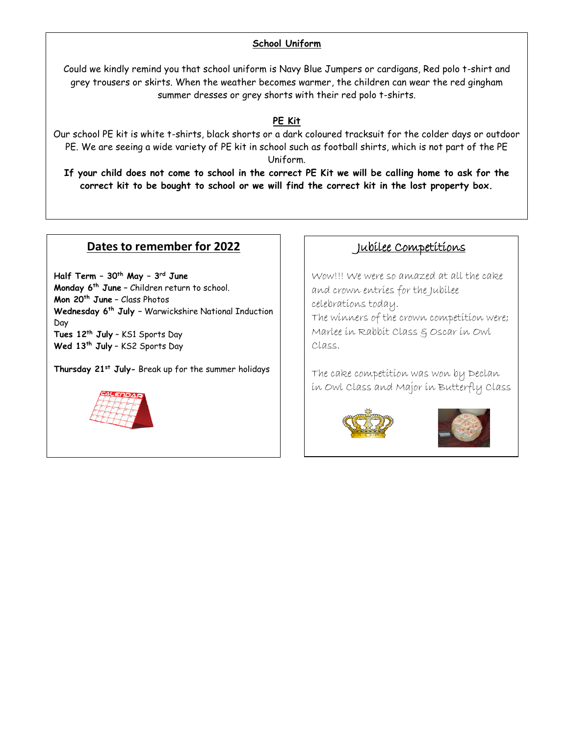### **School Uniform**

Could we kindly remind you that school uniform is Navy Blue Jumpers or cardigans, Red polo t-shirt and grey trousers or skirts. When the weather becomes warmer, the children can wear the red gingham summer dresses or grey shorts with their red polo t-shirts.

#### **PE Kit**

Our school PE kit is white t-shirts, black shorts or a dark coloured tracksuit for the colder days or outdoor PE. We are seeing a wide variety of PE kit in school such as football shirts, which is not part of the PE Uniform.

**If your child does not come to school in the correct PE Kit we will be calling home to ask for the correct kit to be bought to school or we will find the correct kit in the lost property box.**

### **Dates to remember for 2022**

**Half Term – 30th May – 3 rd June Monday 6th June –** Children return to school. **Mon 20th June** – Class Photos **Wednesday 6th July –** Warwickshire National Induction Day **Tues 12th July** – KS1 Sports Day **Wed 13th July** – KS2 Sports Day

**Thursday 21st July-** Break up for the summer holidays



# Jubilee Competitions

Wow!!! We were so amazed at all the cake and crown entries for the Jubilee celebrations today. The winners of the crown competition were; Marlee in Rabbit Class & Oscar in Owl Class.

The cake competition was won by Declan in Owl Class and Major in Butterfly Class